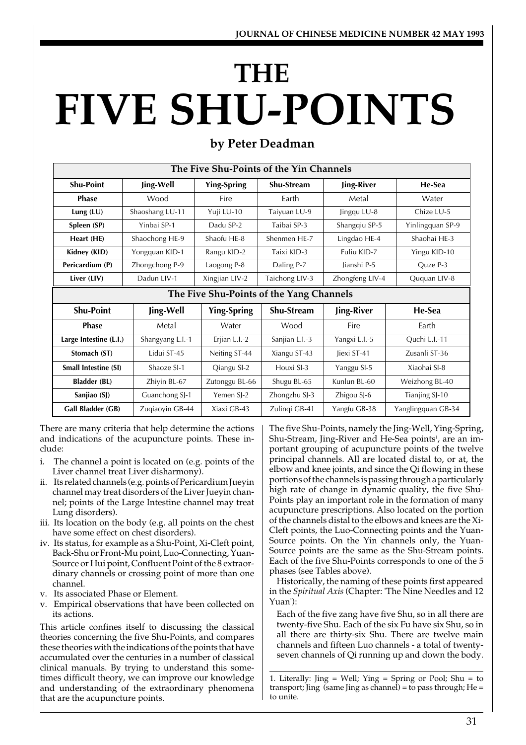# **FIVE SHU-POINTS THE**

| by Peter Deadman |
|------------------|
|------------------|

| The Five Shu-Points of the Yin Channels |                                          |                    |                   |                 |                    |
|-----------------------------------------|------------------------------------------|--------------------|-------------------|-----------------|--------------------|
| <b>Shu-Point</b>                        | Jing-Well                                | <b>Ying-Spring</b> | <b>Shu-Stream</b> | Jing-River      | He-Sea             |
| <b>Phase</b>                            | Wood                                     | Fire               | Earth             | Metal           | Water              |
| Lung (LU)                               | Shaoshang LU-11                          | Yuji LU-10         | Taiyuan LU-9      | Jingqu LU-8     | Chize LU-5         |
| Spleen (SP)                             | Yinbai SP-1                              | Dadu SP-2          | Taibai SP-3       | Shangqiu SP-5   | Yinlingquan SP-9   |
| Heart (HE)                              | Shaochong HE-9                           | Shaofu HF-8        | Shenmen HF-7      | Lingdao HE-4    | Shaohai HF-3       |
| Kidney (KID)                            | Yongquan KID-1                           | Rangu KID-2        | Taixi KID-3       | Fuliu KID-7     | Yingu KID-10       |
| Pericardium (P)                         | Zhongchong P-9                           | Laogong P-8        | Daling P-7        | lianshi P-5     | Ouze P-3           |
| Liver (LIV)                             | Dadun LIV-1                              | Xingjian LIV-2     | Taichong LIV-3    | Zhongfeng LIV-4 | Ququan LIV-8       |
|                                         | The Five Shu-Points of the Yang Channels |                    |                   |                 |                    |
| <b>Shu-Point</b>                        | Jing-Well                                | <b>Ying-Spring</b> | <b>Shu-Stream</b> | Jing-River      | He-Sea             |
| <b>Phase</b>                            | Metal                                    | Water              | Wood              | Fire            | Earth              |
| Large Intestine (L.I.)                  | Shangyang L.I.-1                         | Erjian L.I.-2      | Sanjian L.I.-3    | Yangxi L.I.-5   | Quchi L.I.-11      |
| Stomach (ST)                            | Lidui ST-45                              | Neiting ST-44      | Xiangu ST-43      | liexi ST-41     | Zusanli ST-36      |
| <b>Small Intestine (SI)</b>             | Shaoze SI-1                              | Qiangu SI-2        | Houxi SI-3        | Yanggu SI-5     | Xiaohai SI-8       |
| <b>Bladder (BL)</b>                     | Zhiyin BL-67                             | Zutonggu BL-66     | Shugu BL-65       | Kunlun BL-60    | Weizhong BL-40     |
| Sanjiao (SJ)                            | Guanchong SJ-1                           | Yemen SI-2         | Zhongzhu SJ-3     | Zhigou SJ-6     | Tianjing SJ-10     |
| Gall Bladder (GB)                       | Zuqiaoyin GB-44                          | Xiaxi GB-43        | Zulingi GB-41     | Yangfu GB-38    | Yanglingquan GB-34 |

There are many criteria that help determine the actions and indications of the acupuncture points. These include:

- The channel a point is located on (e.g. points of the Liver channel treat Liver disharmony).
- ii. Its related channels (e.g. points of Pericardium Jueyin channel may treat disorders of the Liver Jueyin channel; points of the Large Intestine channel may treat Lung disorders).
- iii. Its location on the body (e.g. all points on the chest have some effect on chest disorders).
- iv. Its status, for example as a Shu-Point, Xi-Cleft point, Back-Shu or Front-Mu point, Luo-Connecting, Yuan-Source or Hui point, Confluent Point of the 8 extraordinary channels or crossing point of more than one channel.
- v. Its associated Phase or Element.
- v. Empirical observations that have been collected on its actions.

This article confines itself to discussing the classical theories concerning the five Shu-Points, and compares these theories with the indications of the points that have accumulated over the centuries in a number of classical clinical manuals. By trying to understand this sometimes difficult theory, we can improve our knowledge and understanding of the extraordinary phenomena that are the acupuncture points.

The five Shu-Points, namely the Jing-Well, Ying-Spring, Shu-Stream, Jing-River and He-Sea points<sup>1</sup>, are an important grouping of acupuncture points of the twelve principal channels. All are located distal to, or at, the elbow and knee joints, and since the Qi flowing in these portions of the channels is passing through a particularly high rate of change in dynamic quality, the five Shu-Points play an important role in the formation of many acupuncture prescriptions. Also located on the portion of the channels distal to the elbows and knees are the Xi-Cleft points, the Luo-Connecting points and the Yuan-Source points. On the Yin channels only, the Yuan-Source points are the same as the Shu-Stream points. Each of the five Shu-Points corresponds to one of the 5 phases (see Tables above).

Historically, the naming of these points first appeared in the *Spiritual Axis* (Chapter: 'The Nine Needles and 12 Yuan'):

Each of the five zang have five Shu, so in all there are twenty-five Shu. Each of the six Fu have six Shu, so in all there are thirty-six Shu. There are twelve main channels and fifteen Luo channels - a total of twentyseven channels of Qi running up and down the body.

1. Literally:  $\text{ling} = \text{Well}$ ;  $\text{Ying} = \text{Spring}$  or Pool;  $\text{Shu} = \text{to}$ transport; Jing (same Jing as channel) = to pass through;  $He =$ to unite.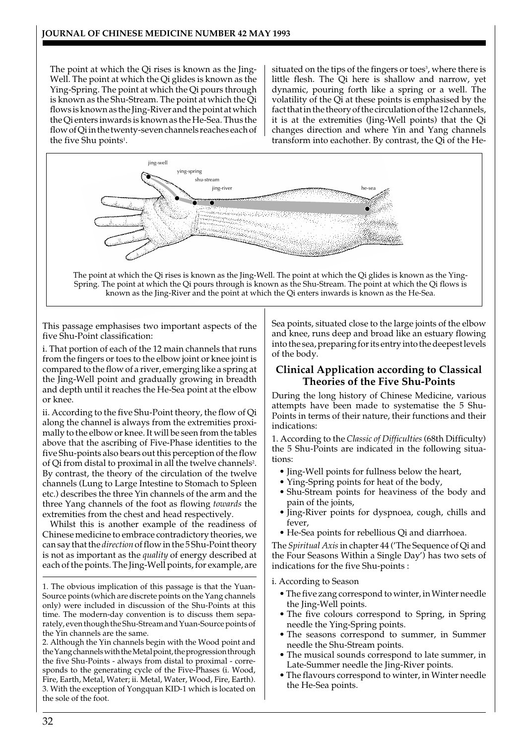The point at which the Qi rises is known as the Jing-Well. The point at which the Qi glides is known as the Ying-Spring. The point at which the Qi pours through is known as the Shu-Stream. The point at which the Qi flows is known as the Jing-River and the point at which the Qi enters inwards is known as the He-Sea. Thus the flow of Qi in the twenty-seven channels reaches each of the five Shu points<sup>1</sup>.

situated on the tips of the fingers or toes<sup>3</sup>, where there is little flesh. The Qi here is shallow and narrow, yet dynamic, pouring forth like a spring or a well. The volatility of the Qi at these points is emphasised by the fact that in the theory of the circulation of the 12 channels, it is at the extremities (Jing-Well points) that the Qi changes direction and where Yin and Yang channels transform into eachother. By contrast, the Qi of the He-



The point at which the Qi rises is known as the Jing-Well. The point at which the Qi glides is known as the Ying-Spring. The point at which the Qi pours through is known as the Shu-Stream. The point at which the Qi flows is known as the Jing-River and the point at which the Qi enters inwards is known as the He-Sea.

This passage emphasises two important aspects of the five Shu-Point classification:

i. That portion of each of the 12 main channels that runs from the fingers or toes to the elbow joint or knee joint is compared to the flow of a river, emerging like a spring at the Jing-Well point and gradually growing in breadth and depth until it reaches the He-Sea point at the elbow or knee.

ii. According to the five Shu-Point theory, the flow of Qi along the channel is always from the extremities proximally to the elbow or knee. It will be seen from the tables above that the ascribing of Five-Phase identities to the five Shu-points also bears out this perception of the flow of Qi from distal to proximal in all the twelve channels<sup>2</sup>. By contrast, the theory of the circulation of the twelve channels (Lung to Large Intestine to Stomach to Spleen etc.) describes the three Yin channels of the arm and the three Yang channels of the foot as flowing *towards* the extremities from the chest and head respectively.

Whilst this is another example of the readiness of Chinese medicine to embrace contradictory theories, we can say that the *direction* of flow in the 5 Shu-Point theory is not as important as the *quality* of energy described at each of the points. The Jing-Well points, for example, are

1. The obvious implication of this passage is that the Yuan-Source points (which are discrete points on the Yang channels only) were included in discussion of the Shu-Points at this time. The modern-day convention is to discuss them separately, even though the Shu-Stream and Yuan-Source points of the Yin channels are the same.

2. Although the Yin channels begin with the Wood point and the Yang channels with the Metal point, the progression through the five Shu-Points - always from distal to proximal - corresponds to the generating cycle of the Five-Phases (i. Wood, Fire, Earth, Metal, Water; ii. Metal, Water, Wood, Fire, Earth). 3. With the exception of Yongquan KID-1 which is located on the sole of the foot.

Sea points, situated close to the large joints of the elbow and knee, runs deep and broad like an estuary flowing into the sea, preparing for its entry into the deepest levels of the body.

# **Clinical Application according to Classical Theories of the Five Shu-Points**

During the long history of Chinese Medicine, various attempts have been made to systematise the 5 Shu-Points in terms of their nature, their functions and their indications:

1. According to the *Classic of Difficulties* (68th Difficulty) the 5 Shu-Points are indicated in the following situations:

- Jing-Well points for fullness below the heart,
- Ying-Spring points for heat of the body,
- Shu-Stream points for heaviness of the body and pain of the joints,
- Jing-River points for dyspnoea, cough, chills and fever,
- He-Sea points for rebellious Qi and diarrhoea.

The *Spiritual Axis* in chapter 44 ('The Sequence of Qi and the Four Seasons Within a Single Day') has two sets of indications for the five Shu-points :

i. According to Season

- The five zang correspond to winter, in Winter needle the Jing-Well points.
- The five colours correspond to Spring, in Spring needle the Ying-Spring points.
- The seasons correspond to summer, in Summer needle the Shu-Stream points.
- The musical sounds correspond to late summer, in Late-Summer needle the Jing-River points.
- The flavours correspond to winter, in Winter needle the He-Sea points.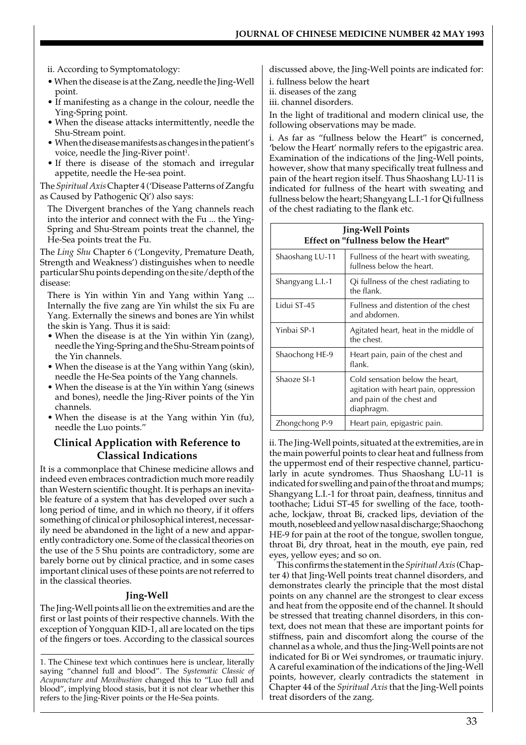- ii. According to Symptomatology:
- When the disease is at the Zang, needle the Jing-Well point.
- If manifesting as a change in the colour, needle the Ying-Spring point.
- When the disease attacks intermittently, needle the Shu-Stream point.
- When the disease manifests as changes in the patient's voice, needle the Jing-River point $^{\rm 1}.$
- If there is disease of the stomach and irregular appetite, needle the He-sea point.

The *Spiritual Axis* Chapter 4 ('Disease Patterns of Zangfu as Caused by Pathogenic Qi') also says:

The Divergent branches of the Yang channels reach into the interior and connect with the Fu ... the Ying-Spring and Shu-Stream points treat the channel, the He-Sea points treat the Fu.

The *Ling Shu* Chapter 6 ('Longevity, Premature Death, Strength and Weakness') distinguishes when to needle particular Shu points depending on the site/depth of the disease:

There is Yin within Yin and Yang within Yang ... Internally the five zang are Yin whilst the six Fu are Yang. Externally the sinews and bones are Yin whilst the skin is Yang. Thus it is said:

- When the disease is at the Yin within Yin (zang), needle the Ying-Spring and the Shu-Stream points of the Yin channels.
- When the disease is at the Yang within Yang (skin), needle the He-Sea points of the Yang channels.
- When the disease is at the Yin within Yang (sinews and bones), needle the Jing-River points of the Yin channels.
- When the disease is at the Yang within Yin (fu), needle the Luo points."

# **Clinical Application with Reference to Classical Indications**

It is a commonplace that Chinese medicine allows and indeed even embraces contradiction much more readily than Western scientific thought. It is perhaps an inevitable feature of a system that has developed over such a long period of time, and in which no theory, if it offers something of clinical or philosophical interest, necessarily need be abandoned in the light of a new and apparently contradictory one. Some of the classical theories on the use of the 5 Shu points are contradictory, some are barely borne out by clinical practice, and in some cases important clinical uses of these points are not referred to in the classical theories.

## **Jing-Well**

The Jing-Well points all lie on the extremities and are the first or last points of their respective channels. With the exception of Yongquan KID-1, all are located on the tips of the fingers or toes. According to the classical sources

1. The Chinese text which continues here is unclear, literally saying "channel full and blood". The *Systematic Classic of Acupuncture and Moxibustion* changed this to "Luo full and blood", implying blood stasis, but it is not clear whether this refers to the Jing-River points or the He-Sea points.

discussed above, the Jing-Well points are indicated for:

i. fullness below the heart

ii. diseases of the zang

iii. channel disorders.

In the light of traditional and modern clinical use, the following observations may be made.

i. As far as "fullness below the Heart" is concerned, 'below the Heart' normally refers to the epigastric area. Examination of the indications of the Jing-Well points, however, show that many specifically treat fullness and pain of the heart region itself. Thus Shaoshang LU-11 is indicated for fullness of the heart with sweating and fullness below the heart; Shangyang L.I.-1 for Qi fullness of the chest radiating to the flank etc.

| <b>Jing-Well Points</b><br><b>Effect on "fullness below the Heart"</b> |                                                                                                                     |  |
|------------------------------------------------------------------------|---------------------------------------------------------------------------------------------------------------------|--|
| Shaoshang LU-11                                                        | Fullness of the heart with sweating,<br>fullness below the heart.                                                   |  |
| Shangyang L.I.-1                                                       | Qi fullness of the chest radiating to<br>the flank.                                                                 |  |
| Lidui ST-45                                                            | Fullness and distention of the chest<br>and abdomen.                                                                |  |
| Yinbai SP-1                                                            | Agitated heart, heat in the middle of<br>the chest.                                                                 |  |
| Shaochong HE-9                                                         | Heart pain, pain of the chest and<br>flank.                                                                         |  |
| Shaoze SI-1                                                            | Cold sensation below the heart,<br>agitation with heart pain, oppression<br>and pain of the chest and<br>diaphragm. |  |
| Zhongchong P-9                                                         | Heart pain, epigastric pain.                                                                                        |  |

ii. The Jing-Well points, situated at the extremities, are in the main powerful points to clear heat and fullness from the uppermost end of their respective channel, particularly in acute syndromes. Thus Shaoshang LU-11 is indicated for swelling and pain of the throat and mumps; Shangyang L.I.-1 for throat pain, deafness, tinnitus and toothache; Lidui ST-45 for swelling of the face, toothache, lockjaw, throat Bi, cracked lips, deviation of the mouth, nosebleed and yellow nasal discharge; Shaochong HE-9 for pain at the root of the tongue, swollen tongue, throat Bi, dry throat, heat in the mouth, eye pain, red eyes, yellow eyes; and so on.

This confirms the statement in the *Spiritual Axis* (Chapter 4) that Jing-Well points treat channel disorders, and demonstrates clearly the principle that the most distal points on any channel are the strongest to clear excess and heat from the opposite end of the channel. It should be stressed that treating channel disorders, in this context, does not mean that these are important points for stiffness, pain and discomfort along the course of the channel as a whole, and thus the Jing-Well points are not indicated for Bi or Wei syndromes, or traumatic injury. A careful examination of the indications of the Jing-Well points, however, clearly contradicts the statement in Chapter 44 of the *Spiritual Axis* that the Jing-Well points treat disorders of the zang.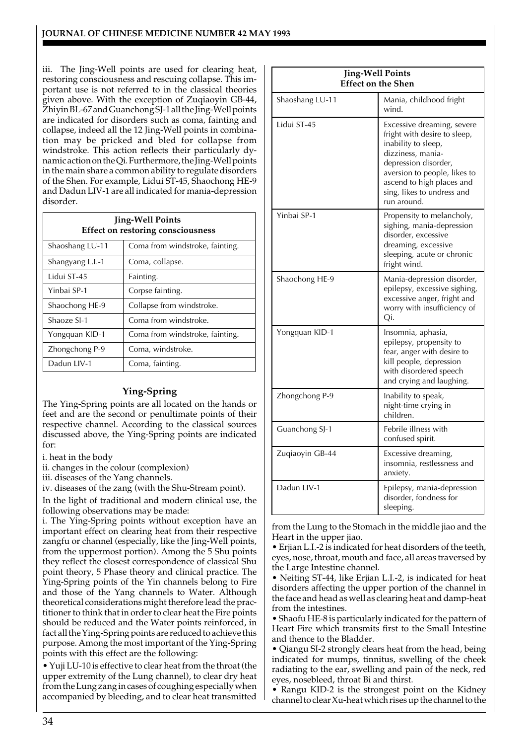iii. The Jing-Well points are used for clearing heat, restoring consciousness and rescuing collapse. This important use is not referred to in the classical theories given above. With the exception of Zuqiaoyin GB-44, Zhiyin BL-67 and Guanchong SJ-1 all the Jing-Well points are indicated for disorders such as coma, fainting and collapse, indeed all the 12 Jing-Well points in combination may be pricked and bled for collapse from windstroke. This action reflects their particularly dynamic action on the Qi. Furthermore, the Jing-Well points in the main share a common ability to regulate disorders of the Shen. For example, Lidui ST-45, Shaochong HE-9 and Dadun LIV-1 are all indicated for mania-depression disorder.

| <b>Jing-Well Points</b><br>Effect on restoring consciousness |                                 |  |
|--------------------------------------------------------------|---------------------------------|--|
| Shaoshang LU-11                                              | Coma from windstroke, fainting. |  |
| Shangyang L.I.-1                                             | Coma, collapse.                 |  |
| Lidui ST-45                                                  | Fainting.                       |  |
| Yinbai SP-1                                                  | Corpse fainting.                |  |
| Shaochong HE-9                                               | Collapse from windstroke.       |  |
| Shaoze SI-1                                                  | Coma from windstroke.           |  |
| Yongquan KID-1                                               | Coma from windstroke, fainting. |  |
| Zhongchong P-9                                               | Coma, windstroke.               |  |
| Dadun LIV-1                                                  | Coma, fainting.                 |  |

# **Ying-Spring**

The Ying-Spring points are all located on the hands or feet and are the second or penultimate points of their respective channel. According to the classical sources discussed above, the Ying-Spring points are indicated for:

- i. heat in the body
- ii. changes in the colour (complexion)
- iii. diseases of the Yang channels.
- iv. diseases of the zang (with the Shu-Stream point).

In the light of traditional and modern clinical use, the following observations may be made:

i. The Ying-Spring points without exception have an important effect on clearing heat from their respective zangfu or channel (especially, like the Jing-Well points, from the uppermost portion). Among the 5 Shu points they reflect the closest correspondence of classical Shu point theory, 5 Phase theory and clinical practice. The Ying-Spring points of the Yin channels belong to Fire and those of the Yang channels to Water. Although theoretical considerations might therefore lead the practitioner to think that in order to clear heat the Fire points should be reduced and the Water points reinforced, in fact all the Ying-Spring points are reduced to achieve this purpose. Among the most important of the Ying-Spring points with this effect are the following:

• Yuji LU-10 is effective to clear heat from the throat (the upper extremity of the Lung channel), to clear dry heat from the Lung zang in cases of coughing especially when accompanied by bleeding, and to clear heat transmitted

| <b>Jing-Well Points</b><br><b>Effect on the Shen</b> |                                                                                                                                                                                                                                          |  |
|------------------------------------------------------|------------------------------------------------------------------------------------------------------------------------------------------------------------------------------------------------------------------------------------------|--|
| Shaoshang LU-11                                      | Mania, childhood fright<br>wind.                                                                                                                                                                                                         |  |
| Lidui ST-45                                          | Excessive dreaming, severe<br>fright with desire to sleep,<br>inability to sleep,<br>dizziness, mania-<br>depression disorder,<br>aversion to people, likes to<br>ascend to high places and<br>sing, likes to undress and<br>run around. |  |
| Yinbai SP-1                                          | Propensity to melancholy,<br>sighing, mania-depression<br>disorder, excessive<br>dreaming, excessive<br>sleeping, acute or chronic<br>fright wind.                                                                                       |  |
| Shaochong HE-9                                       | Mania-depression disorder,<br>epilepsy, excessive sighing,<br>excessive anger, fright and<br>worry with insufficiency of<br>Qi.                                                                                                          |  |
| Yongquan KID-1                                       | Insomnia, aphasia,<br>epilepsy, propensity to<br>fear, anger with desire to<br>kill people, depression<br>with disordered speech<br>and crying and laughing.                                                                             |  |
| Zhongchong P-9                                       | Inability to speak,<br>night-time crying in<br>children.                                                                                                                                                                                 |  |
| Guanchong SJ-1                                       | Febrile illness with<br>confused spirit.                                                                                                                                                                                                 |  |
| Zuqiaoyin GB-44                                      | Excessive dreaming,<br>insomnia, restlessness and<br>anxiety.                                                                                                                                                                            |  |
| Dadun LIV-1                                          | Epilepsy, mania-depression<br>disorder, fondness for<br>sleeping.                                                                                                                                                                        |  |

from the Lung to the Stomach in the middle jiao and the Heart in the upper jiao.

• Erjian L.I.-2 is indicated for heat disorders of the teeth, eyes, nose, throat, mouth and face, all areas traversed by the Large Intestine channel.

• Neiting ST-44, like Erjian L.I.-2, is indicated for heat disorders affecting the upper portion of the channel in the face and head as well as clearing heat and damp-heat from the intestines.

• Shaofu HE-8 is particularly indicated for the pattern of Heart Fire which transmits first to the Small Intestine and thence to the Bladder.

• Qiangu SI-2 strongly clears heat from the head, being indicated for mumps, tinnitus, swelling of the cheek radiating to the ear, swelling and pain of the neck, red eyes, nosebleed, throat Bi and thirst.

• Rangu KID-2 is the strongest point on the Kidney channel to clear Xu-heat which rises up the channel to the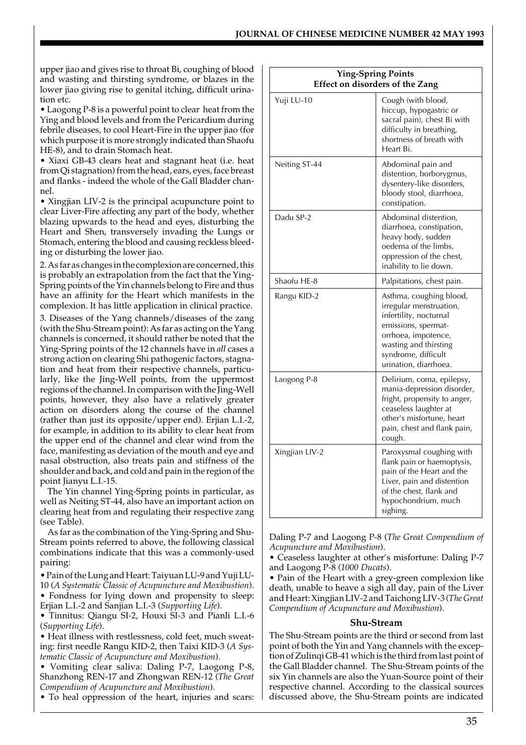upper jiao and gives rise to throat Bi, coughing of blood and wasting and thirsting syndrome, or blazes in the lower jiao giving rise to genital itching, difficult urination etc.

• Laogong P-8 is a powerful point to clear heat from the Ying and blood levels and from the Pericardium during febrile diseases, to cool Heart-Fire in the upper jiao (for which purpose it is more strongly indicated than Shaofu HE-8), and to drain Stomach heat.

• Xiaxi GB-43 clears heat and stagnant heat (i.e. heat from Qi stagnation) from the head, ears, eyes, face breast and flanks - indeed the whole of the Gall Bladder channel.

• Xingjian LIV-2 is the principal acupuncture point to clear Liver-Fire affecting any part of the body, whether blazing upwards to the head and eyes, disturbing the Heart and Shen, transversely invading the Lungs or Stomach, entering the blood and causing reckless bleeding or disturbing the lower jiao.

2. As far as changes in the complexion are concerned, this is probably an extrapolation from the fact that the Ying-Spring points of the Yin channels belong to Fire and thus have an affinity for the Heart which manifests in the complexion. It has little application in clinical practice.

3. Diseases of the Yang channels/diseases of the zang (with the Shu-Stream point): As far as acting on the Yang channels is concerned, it should rather be noted that the Ying-Spring points of the 12 channels have in *all* cases a strong action on clearing Shi pathogenic factors, stagnation and heat from their respective channels, particularly, like the Jing-Well points, from the uppermost regions of the channel. In comparison with the Jing-Well points, however, they also have a relatively greater action on disorders along the course of the channel (rather than just its opposite/upper end). Erjian L.I.-2, for example, in addition to its ability to clear heat from the upper end of the channel and clear wind from the face, manifesting as deviation of the mouth and eye and nasal obstruction, also treats pain and stiffness of the shoulder and back, and cold and pain in the region of the point Jianyu L.I.-15.

The Yin channel Ying-Spring points in particular, as well as Neiting ST-44, also have an important action on clearing heat from and regulating their respective zang (see Table).

As far as the combination of the Ying-Spring and Shu-Stream points referred to above, the following classical combinations indicate that this was a commonly-used pairing:

• Pain of the Lung and Heart: Taiyuan LU-9 and Yuji LU-

10 (*A Systematic Classic of Acupuncture and Moxibustion*). • Fondness for lying down and propensity to sleep: Erjian L.I.-2 and Sanjian L.I.-3 (*Supporting Life*).

• Tinnitus: Qiangu SI-2, Houxi SI-3 and Pianli L.I.-6 (*Supporting Life*).

• Heat illness with restlessness, cold feet, much sweating: first needle Rangu KID-2, then Taixi KID-3 (*A Systematic Classic of Acupuncture and Moxibustion*).

• Vomiting clear saliva: Daling P-7, Laogong P-8, Shanzhong REN-17 and Zhongwan REN-12 (*The Great Compendium of Acupuncture and Moxibustion*).

• To heal oppression of the heart, injuries and scars:

| Ying-Spring Points<br><b>Effect on disorders of the Zang</b> |                                                                                                                                                                                                     |  |
|--------------------------------------------------------------|-----------------------------------------------------------------------------------------------------------------------------------------------------------------------------------------------------|--|
| Yuji LU-10                                                   | Cough (with blood,<br>hiccup, hypogastric or<br>sacral pain), chest Bi with<br>difficulty in breathing,<br>shortness of breath with<br>Heart Bi.                                                    |  |
| Neiting ST-44                                                | Abdominal pain and<br>distention, borborygmus,<br>dysentery-like disorders,<br>bloody stool, diarrhoea,<br>constipation.                                                                            |  |
| Dadu SP-2                                                    | Abdominal distention,<br>diarrhoea, constipation,<br>heavy body, sudden<br>oedema of the limbs,<br>oppression of the chest,<br>inability to lie down.                                               |  |
| Shaofu HE-8                                                  | Palpitations, chest pain.                                                                                                                                                                           |  |
| Rangu KID-2                                                  | Asthma, coughing blood,<br>irregular menstruation,<br>infertility, nocturnal<br>emissions, spermat-<br>orrhoea, impotence,<br>wasting and thirsting<br>syndrome, difficult<br>urination, diarrhoea. |  |
| Laogong P-8                                                  | Delirium, coma, epilepsy,<br>mania-depression disorder,<br>fright, propensity to anger,<br>ceaseless laughter at<br>other's misfortune, heart<br>pain, chest and flank pain,<br>cough.              |  |
| Xingjian LIV-2                                               | Paroxysmal coughing with<br>flank pain or haemoptysis,<br>pain of the Heart and the<br>Liver, pain and distention<br>of the chest, flank and<br>hypochondrium, much<br>sighing.                     |  |

Daling P-7 and Laogong P-8 (*The Great Compendium of Acupuncture and Moxibustion*).

• Ceaseless laughter at other's misfortune: Daling P-7 and Laogong P-8 (*1000 Ducats*).

• Pain of the Heart with a grey-green complexion like death, unable to heave a sigh all day, pain of the Liver and Heart: Xingjian LIV-2 and Taichong LIV-3 (*The Great Compendium of Acupuncture and Moxibustion*).

#### **Shu-Stream**

The Shu-Stream points are the third or second from last point of both the Yin and Yang channels with the exception of Zulinqi GB-41 which is the third from last point of the Gall Bladder channel. The Shu-Stream points of the six Yin channels are also the Yuan-Source point of their respective channel. According to the classical sources discussed above, the Shu-Stream points are indicated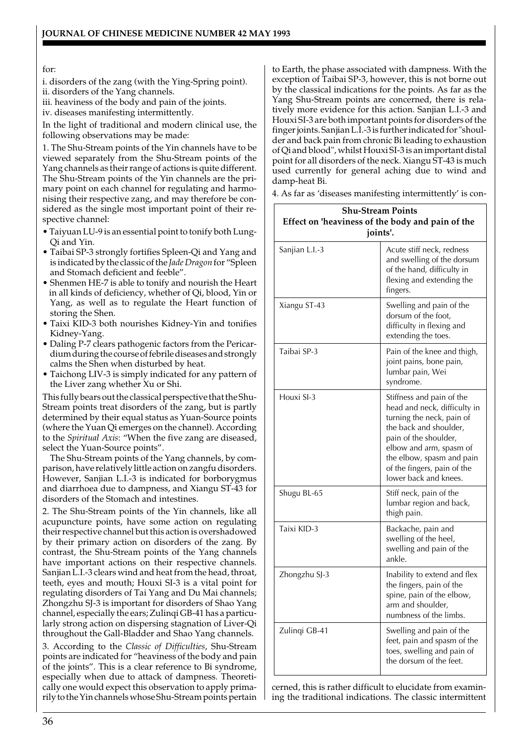#### for:

i. disorders of the zang (with the Ying-Spring point).

ii. disorders of the Yang channels.

iii. heaviness of the body and pain of the joints.

iv. diseases manifesting intermittently.

In the light of traditional and modern clinical use, the following observations may be made:

1. The Shu-Stream points of the Yin channels have to be viewed separately from the Shu-Stream points of the Yang channels as their range of actions is quite different. The Shu-Stream points of the Yin channels are the primary point on each channel for regulating and harmonising their respective zang, and may therefore be considered as the single most important point of their respective channel:

- Taiyuan LU-9 is an essential point to tonify both Lung-Qi and Yin.
- Taibai SP-3 strongly fortifies Spleen-Qi and Yang and is indicated by the classic of the *Jade Dragon* for "Spleen and Stomach deficient and feeble".
- Shenmen HE-7 is able to tonify and nourish the Heart in all kinds of deficiency, whether of Qi, blood, Yin or Yang, as well as to regulate the Heart function of storing the Shen.
- Taixi KID-3 both nourishes Kidney-Yin and tonifies Kidney-Yang.
- Daling P-7 clears pathogenic factors from the Pericardium during the course of febrile diseases and strongly calms the Shen when disturbed by heat.
- Taichong LIV-3 is simply indicated for any pattern of the Liver zang whether Xu or Shi.

This fully bears out the classical perspective that the Shu-Stream points treat disorders of the zang, but is partly determined by their equal status as Yuan-Source points (where the Yuan Qi emerges on the channel). According to the *Spiritual Axis*: "When the five zang are diseased, select the Yuan-Source points".

The Shu-Stream points of the Yang channels, by comparison, have relatively little action on zangfu disorders. However, Sanjian L.I.-3 is indicated for borborygmus and diarrhoea due to dampness, and Xiangu ST-43 for disorders of the Stomach and intestines.

2. The Shu-Stream points of the Yin channels, like all acupuncture points, have some action on regulating their respective channel but this action is overshadowed by their primary action on disorders of the zang. By contrast, the Shu-Stream points of the Yang channels have important actions on their respective channels. Sanjian L.I.-3 clears wind and heat from the head, throat, teeth, eyes and mouth; Houxi SI-3 is a vital point for regulating disorders of Tai Yang and Du Mai channels; Zhongzhu SJ-3 is important for disorders of Shao Yang channel, especially the ears; Zulinqi GB-41 has a particularly strong action on dispersing stagnation of Liver-Qi throughout the Gall-Bladder and Shao Yang channels.

3. According to the *Classic of Difficulties*, Shu-Stream points are indicated for "heaviness of the body and pain of the joints". This is a clear reference to Bi syndrome, especially when due to attack of dampness. Theoretically one would expect this observation to apply primarily to the Yin channels whose Shu-Stream points pertain to Earth, the phase associated with dampness. With the exception of Taibai SP-3, however, this is not borne out by the classical indications for the points. As far as the Yang Shu-Stream points are concerned, there is relatively more evidence for this action. Sanjian L.I.-3 and Houxi SI-3 are both important points for disorders of the finger joints. Sanjian L.I.-3 is further indicated for "shoulder and back pain from chronic Bi leading to exhaustion of Qi and blood", whilst Houxi SI-3 is an important distal point for all disorders of the neck. Xiangu ST-43 is much used currently for general aching due to wind and damp-heat Bi.

4. As far as 'diseases manifesting intermittently' is con-

| <b>Shu-Stream Points</b><br>Effect on 'heaviness of the body and pain of the<br>joints'. |                                                                                                                                                                                                                                                           |  |
|------------------------------------------------------------------------------------------|-----------------------------------------------------------------------------------------------------------------------------------------------------------------------------------------------------------------------------------------------------------|--|
| Sanjian L.I.-3                                                                           | Acute stiff neck, redness<br>and swelling of the dorsum<br>of the hand, difficulty in<br>flexing and extending the<br>fingers.                                                                                                                            |  |
| Xiangu ST-43                                                                             | Swelling and pain of the<br>dorsum of the foot,<br>difficulty in flexing and<br>extending the toes.                                                                                                                                                       |  |
| Taibai SP-3                                                                              | Pain of the knee and thigh,<br>joint pains, bone pain,<br>lumbar pain, Wei<br>syndrome.                                                                                                                                                                   |  |
| Houxi SI-3                                                                               | Stiffness and pain of the<br>head and neck, difficulty in<br>turning the neck, pain of<br>the back and shoulder,<br>pain of the shoulder,<br>elbow and arm, spasm of<br>the elbow, spasm and pain<br>of the fingers, pain of the<br>lower back and knees. |  |
| Shugu BL-65                                                                              | Stiff neck, pain of the<br>lumbar region and back,<br>thigh pain.                                                                                                                                                                                         |  |
| Taixi KID-3                                                                              | Backache, pain and<br>swelling of the heel,<br>swelling and pain of the<br>ankle.                                                                                                                                                                         |  |
| Zhongzhu SJ-3                                                                            | Inability to extend and flex<br>the fingers, pain of the<br>spine, pain of the elbow,<br>arm and shoulder,<br>numbness of the limbs.                                                                                                                      |  |
| Zulingi GB-41                                                                            | Swelling and pain of the<br>feet, pain and spasm of the<br>toes, swelling and pain of<br>the dorsum of the feet.                                                                                                                                          |  |

cerned, this is rather difficult to elucidate from examining the traditional indications. The classic intermittent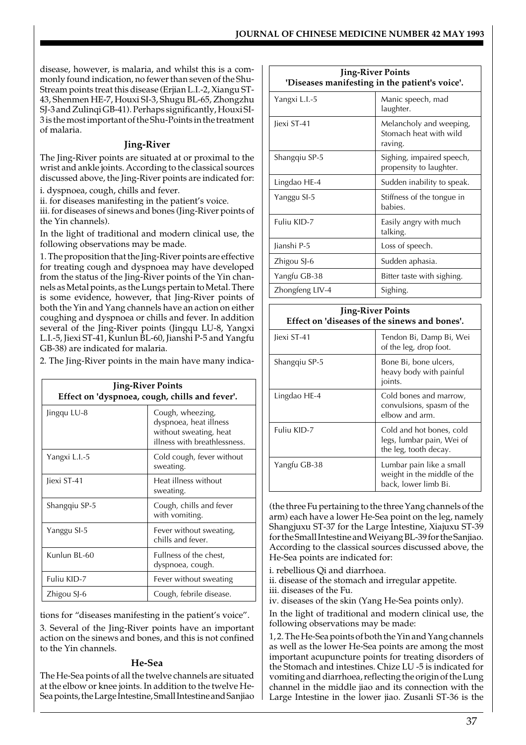disease, however, is malaria, and whilst this is a commonly found indication, no fewer than seven of the Shu-Stream points treat this disease (Erjian L.I.-2, Xiangu ST-43, Shenmen HE-7, Houxi SI-3, Shugu BL-65, Zhongzhu SJ-3 and Zulinqi GB-41). Perhaps significantly, Houxi SI-3 is the most important of the Shu-Points in the treatment of malaria.

### **Jing-River**

The Jing-River points are situated at or proximal to the wrist and ankle joints. According to the classical sources discussed above, the Jing-River points are indicated for:

i. dyspnoea, cough, chills and fever.

ii. for diseases manifesting in the patient's voice.

iii. for diseases of sinews and bones (Jing-River points of the Yin channels).

In the light of traditional and modern clinical use, the following observations may be made.

1. The proposition that the Jing-River points are effective for treating cough and dyspnoea may have developed from the status of the Jing-River points of the Yin channels as Metal points, as the Lungs pertain to Metal. There is some evidence, however, that Jing-River points of both the Yin and Yang channels have an action on either coughing and dyspnoea or chills and fever. In addition several of the Jing-River points (Jingqu LU-8, Yangxi L.I.-5, Jiexi ST-41, Kunlun BL-60, Jianshi P-5 and Yangfu GB-38) are indicated for malaria.

2. The Jing-River points in the main have many indica-

| <b>Jing-River Points</b><br>Effect on 'dyspnoea, cough, chills and fever'. |                                                                                                      |  |
|----------------------------------------------------------------------------|------------------------------------------------------------------------------------------------------|--|
| Jingqu LU-8                                                                | Cough, wheezing,<br>dyspnoea, heat illness<br>without sweating, heat<br>illness with breathlessness. |  |
| Yangxi L.I.-5                                                              | Cold cough, fever without<br>sweating.                                                               |  |
| Jiexi ST-41                                                                | Heat illness without<br>sweating.                                                                    |  |
| Shangqiu SP-5                                                              | Cough, chills and fever<br>with vomiting.                                                            |  |
| Yanggu SI-5                                                                | Fever without sweating,<br>chills and fever.                                                         |  |
| Kunlun BL-60                                                               | Fullness of the chest,<br>dyspnoea, cough.                                                           |  |
| Fuliu KID-7                                                                | Fever without sweating                                                                               |  |
| Zhigou SJ-6                                                                | Cough, febrile disease.                                                                              |  |

tions for "diseases manifesting in the patient's voice". 3. Several of the Jing-River points have an important

action on the sinews and bones, and this is not confined to the Yin channels.

#### **He-Sea**

The He-Sea points of all the twelve channels are situated at the elbow or knee joints. In addition to the twelve He-Sea points, the Large Intestine, Small Intestine and Sanjiao

| <b>Jing-River Points</b><br>'Diseases manifesting in the patient's voice'. |                                                              |  |
|----------------------------------------------------------------------------|--------------------------------------------------------------|--|
| Yangxi L.I.-5                                                              | Manic speech, mad<br>laughter.                               |  |
| liexi ST-41                                                                | Melancholy and weeping,<br>Stomach heat with wild<br>raving. |  |
| Shangqiu SP-5                                                              | Sighing, impaired speech,<br>propensity to laughter.         |  |
| Lingdao HE-4                                                               | Sudden inability to speak.                                   |  |
| Yanggu SI-5                                                                | Stiffness of the tongue in<br>babies.                        |  |
| Fuliu KID-7                                                                | Easily angry with much<br>talking.                           |  |
| Jianshi P-5                                                                | Loss of speech.                                              |  |
| Zhigou SJ-6                                                                | Sudden aphasia.                                              |  |
| Yangfu GB-38                                                               | Bitter taste with sighing.                                   |  |
| Zhongfeng LIV-4                                                            | Sighing.                                                     |  |

# **Jing-River Points Effect on 'diseases of the sinews and bones'.**

| liexi ST-41   | Tendon Bi, Damp Bi, Wei<br>of the leg, drop foot.                               |
|---------------|---------------------------------------------------------------------------------|
| Shangqiu SP-5 | Bone Bi, bone ulcers,<br>heavy body with painful<br>joints.                     |
| Lingdao HE-4  | Cold bones and marrow,<br>convulsions, spasm of the<br>elbow and arm.           |
| Fuliu KID-7   | Cold and hot bones, cold<br>legs, lumbar pain, Wei of<br>the leg, tooth decay.  |
| Yangfu GB-38  | Lumbar pain like a small<br>weight in the middle of the<br>back, lower limb Bi. |

(the three Fu pertaining to the three Yang channels of the arm) each have a lower He-Sea point on the leg, namely Shangjuxu ST-37 for the Large Intestine, Xiajuxu ST-39 for the Small Intestine and Weiyang BL-39 for the Sanjiao. According to the classical sources discussed above, the He-Sea points are indicated for:

i. rebellious Qi and diarrhoea.

ii. disease of the stomach and irregular appetite.

iii. diseases of the Fu.

iv. diseases of the skin (Yang He-Sea points only).

In the light of traditional and modern clinical use, the following observations may be made:

1, 2. The He-Sea points of both the Yin and Yang channels as well as the lower He-Sea points are among the most important acupuncture points for treating disorders of the Stomach and intestines. Chize LU -5 is indicated for vomiting and diarrhoea, reflecting the origin of the Lung channel in the middle jiao and its connection with the Large Intestine in the lower jiao. Zusanli ST-36 is the